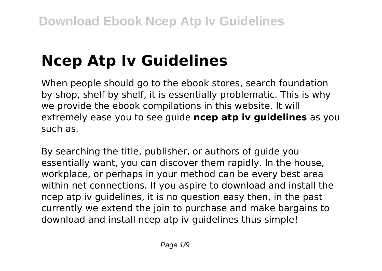# **Ncep Atp Iv Guidelines**

When people should go to the ebook stores, search foundation by shop, shelf by shelf, it is essentially problematic. This is why we provide the ebook compilations in this website. It will extremely ease you to see guide **ncep atp iv guidelines** as you such as.

By searching the title, publisher, or authors of guide you essentially want, you can discover them rapidly. In the house, workplace, or perhaps in your method can be every best area within net connections. If you aspire to download and install the ncep atp iv guidelines, it is no question easy then, in the past currently we extend the join to purchase and make bargains to download and install ncep atp iv guidelines thus simple!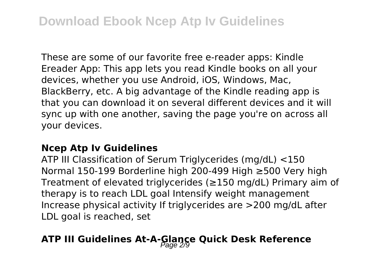These are some of our favorite free e-reader apps: Kindle Ereader App: This app lets you read Kindle books on all your devices, whether you use Android, iOS, Windows, Mac, BlackBerry, etc. A big advantage of the Kindle reading app is that you can download it on several different devices and it will sync up with one another, saving the page you're on across all your devices.

#### **Ncep Atp Iv Guidelines**

ATP III Classification of Serum Triglycerides (mg/dL) <150 Normal 150-199 Borderline high 200-499 High ≥500 Very high Treatment of elevated triglycerides (≥150 mg/dL) Primary aim of therapy is to reach LDL goal Intensify weight management Increase physical activity If triglycerides are >200 mg/dL after LDL goal is reached, set

### **ATP III Guidelines At-A-Glance Quick Desk Reference** Page 2/9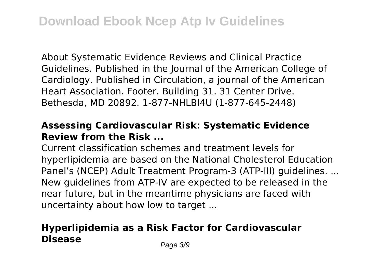About Systematic Evidence Reviews and Clinical Practice Guidelines. Published in the Journal of the American College of Cardiology. Published in Circulation, a journal of the American Heart Association. Footer. Building 31. 31 Center Drive. Bethesda, MD 20892. 1-877-NHLBI4U (1-877-645-2448)

#### **Assessing Cardiovascular Risk: Systematic Evidence Review from the Risk ...**

Current classification schemes and treatment levels for hyperlipidemia are based on the National Cholesterol Education Panel's (NCEP) Adult Treatment Program-3 (ATP-III) guidelines. ... New guidelines from ATP-IV are expected to be released in the near future, but in the meantime physicians are faced with uncertainty about how low to target ...

### **Hyperlipidemia as a Risk Factor for Cardiovascular Disease** Page 3/9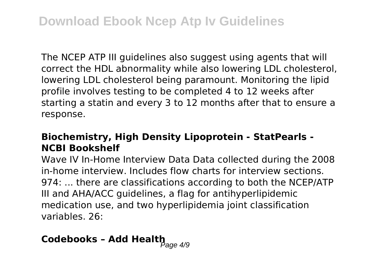The NCEP ATP III guidelines also suggest using agents that will correct the HDL abnormality while also lowering LDL cholesterol, lowering LDL cholesterol being paramount. Monitoring the lipid profile involves testing to be completed 4 to 12 weeks after starting a statin and every 3 to 12 months after that to ensure a response.

#### **Biochemistry, High Density Lipoprotein - StatPearls - NCBI Bookshelf**

Wave IV In-Home Interview Data Data collected during the 2008 in-home interview. Includes flow charts for interview sections. 974: ... there are classifications according to both the NCEP/ATP III and AHA/ACC guidelines, a flag for antihyperlipidemic medication use, and two hyperlipidemia joint classification variables. 26:

# **Codebooks - Add Health**<br> $P_{\text{age 4/9}}$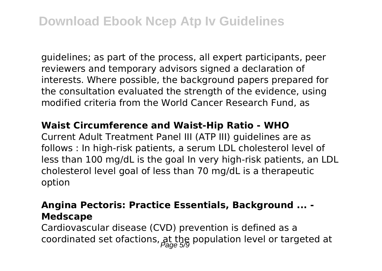guidelines; as part of the process, all expert participants, peer reviewers and temporary advisors signed a declaration of interests. Where possible, the background papers prepared for the consultation evaluated the strength of the evidence, using modified criteria from the World Cancer Research Fund, as

#### **Waist Circumference and Waist-Hip Ratio - WHO**

Current Adult Treatment Panel III (ATP III) guidelines are as follows : In high-risk patients, a serum LDL cholesterol level of less than 100 mg/dL is the goal In very high-risk patients, an LDL cholesterol level goal of less than 70 mg/dL is a therapeutic option

#### **Angina Pectoris: Practice Essentials, Background ... - Medscape**

Cardiovascular disease (CVD) prevention is defined as a coordinated set ofactions,  $\frac{1}{\beta}$  the population level or targeted at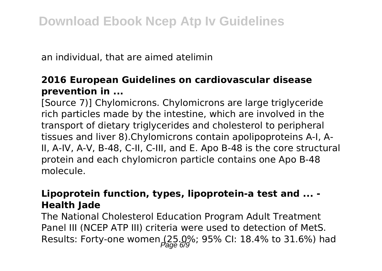an individual, that are aimed atelimin

#### **2016 European Guidelines on cardiovascular disease prevention in ...**

[Source 7)] Chylomicrons. Chylomicrons are large triglyceride rich particles made by the intestine, which are involved in the transport of dietary triglycerides and cholesterol to peripheral tissues and liver 8).Chylomicrons contain apolipoproteins A-I, A-II, A-IV, A-V, B-48, C-II, C-III, and E. Apo B-48 is the core structural protein and each chylomicron particle contains one Apo B-48 molecule.

#### **Lipoprotein function, types, lipoprotein-a test and ... - Health Jade**

The National Cholesterol Education Program Adult Treatment Panel III (NCEP ATP III) criteria were used to detection of MetS. Results: Forty-one women  $(25.0\%; 95\%$  CI: 18.4% to 31.6%) had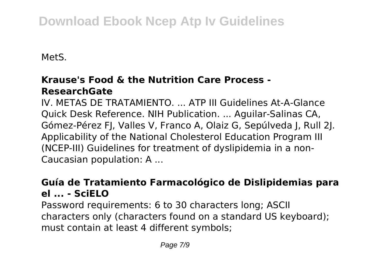## **Download Ebook Ncep Atp Iv Guidelines**

MetS.

#### **Krause's Food & the Nutrition Care Process - ResearchGate**

IV. METAS DE TRATAMIENTO ATP III Guidelines At-A-Glance Quick Desk Reference. NIH Publication. ... Aguilar-Salinas CA, Gómez-Pérez FJ, Valles V, Franco A, Olaiz G, Sepúlveda J, Rull 2J. Applicability of the National Cholesterol Education Program III (NCEP-III) Guidelines for treatment of dyslipidemia in a non-Caucasian population: A ...

#### **Guía de Tratamiento Farmacológico de Dislipidemias para el ... - SciELO**

Password requirements: 6 to 30 characters long; ASCII characters only (characters found on a standard US keyboard); must contain at least 4 different symbols;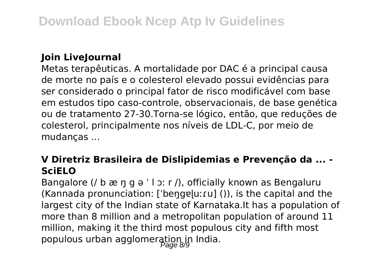#### **Join LiveJournal**

Metas terapêuticas. A mortalidade por DAC é a principal causa de morte no país e o colesterol elevado possui evidências para ser considerado o principal fator de risco modificável com base em estudos tipo caso-controle, observacionais, de base genética ou de tratamento 27-30.Torna-se lógico, então, que reduções de colesterol, principalmente nos níveis de LDL-C, por meio de mudanças ...

#### **V Diretriz Brasileira de Dislipidemias e Prevenção da ... - SciELO**

Bangalore (/ b æ ŋ g ə ' l ɔː r /), officially known as Bengaluru  $(Kannada$  pronunciation: ['bengɐ]uːru] ()), is the capital and the largest city of the Indian state of Karnataka.It has a population of more than 8 million and a metropolitan population of around 11 million, making it the third most populous city and fifth most populous urban agglomeration in India.